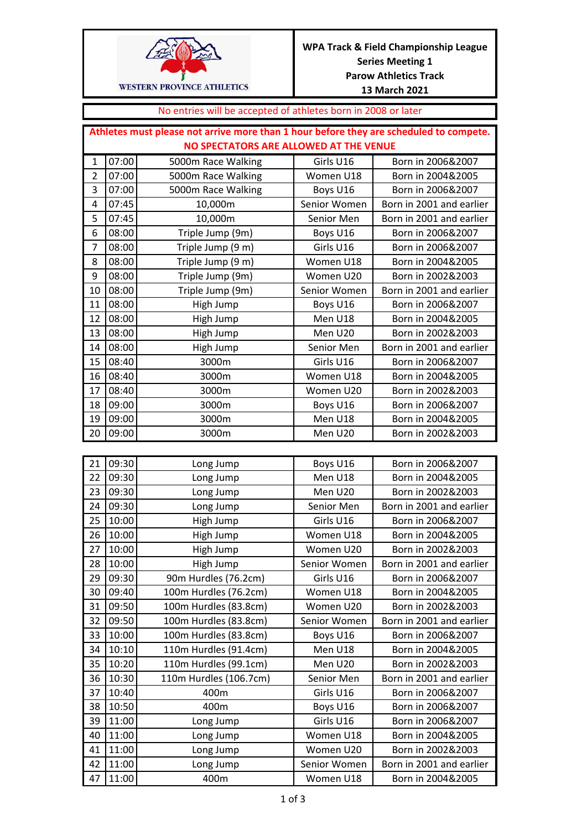

## No entries will be accepted of athletes born in 2008 or later

|                | Athletes must please not arrive more than 1 hour before they are scheduled to compete. |                    |              |                          |  |
|----------------|----------------------------------------------------------------------------------------|--------------------|--------------|--------------------------|--|
|                | NO SPECTATORS ARE ALLOWED AT THE VENUE                                                 |                    |              |                          |  |
| $\mathbf{1}$   | 07:00                                                                                  | 5000m Race Walking | Girls U16    | Born in 2006&2007        |  |
| $\overline{2}$ | 07:00                                                                                  | 5000m Race Walking | Women U18    | Born in 2004&2005        |  |
| 3              | 07:00                                                                                  | 5000m Race Walking | Boys U16     | Born in 2006&2007        |  |
| 4              | 07:45                                                                                  | 10,000m            | Senior Women | Born in 2001 and earlier |  |
| 5              | 07:45                                                                                  | 10,000m            | Senior Men   | Born in 2001 and earlier |  |
| 6              | 08:00                                                                                  | Triple Jump (9m)   | Boys U16     | Born in 2006&2007        |  |
| 7              | 08:00                                                                                  | Triple Jump (9 m)  | Girls U16    | Born in 2006&2007        |  |
| 8              | 08:00                                                                                  | Triple Jump (9 m)  | Women U18    | Born in 2004&2005        |  |
| 9              | 08:00                                                                                  | Triple Jump (9m)   | Women U20    | Born in 2002&2003        |  |
| 10             | 08:00                                                                                  | Triple Jump (9m)   | Senior Women | Born in 2001 and earlier |  |
| 11             | 08:00                                                                                  | High Jump          | Boys U16     | Born in 2006&2007        |  |
| 12             | 08:00                                                                                  | High Jump          | Men U18      | Born in 2004&2005        |  |
| 13             | 08:00                                                                                  | High Jump          | Men U20      | Born in 2002&2003        |  |
| 14             | 08:00                                                                                  | High Jump          | Senior Men   | Born in 2001 and earlier |  |
| 15             | 08:40                                                                                  | 3000m              | Girls U16    | Born in 2006&2007        |  |
| 16             | 08:40                                                                                  | 3000m              | Women U18    | Born in 2004&2005        |  |
| 17             | 08:40                                                                                  | 3000m              | Women U20    | Born in 2002&2003        |  |
| 18             | 09:00                                                                                  | 3000m              | Boys U16     | Born in 2006&2007        |  |
| 19             | 09:00                                                                                  | 3000m              | Men U18      | Born in 2004&2005        |  |
| 20             | 09:00                                                                                  | 3000m              | Men U20      | Born in 2002&2003        |  |

| 21 | 09:30 | Long Jump              | Boys U16     | Born in 2006&2007        |
|----|-------|------------------------|--------------|--------------------------|
| 22 | 09:30 | Long Jump              | Men U18      | Born in 2004&2005        |
| 23 | 09:30 | Long Jump              | Men U20      | Born in 2002&2003        |
| 24 | 09:30 | Long Jump              | Senior Men   | Born in 2001 and earlier |
| 25 | 10:00 | High Jump              | Girls U16    | Born in 2006&2007        |
| 26 | 10:00 | High Jump              | Women U18    | Born in 2004&2005        |
| 27 | 10:00 | High Jump              | Women U20    | Born in 2002&2003        |
| 28 | 10:00 | High Jump              | Senior Women | Born in 2001 and earlier |
| 29 | 09:30 | 90m Hurdles (76.2cm)   | Girls U16    | Born in 2006&2007        |
| 30 | 09:40 | 100m Hurdles (76.2cm)  | Women U18    | Born in 2004&2005        |
| 31 | 09:50 | 100m Hurdles (83.8cm)  | Women U20    | Born in 2002&2003        |
| 32 | 09:50 | 100m Hurdles (83.8cm)  | Senior Women | Born in 2001 and earlier |
| 33 | 10:00 | 100m Hurdles (83.8cm)  | Boys U16     | Born in 2006&2007        |
| 34 | 10:10 | 110m Hurdles (91.4cm)  | Men U18      | Born in 2004&2005        |
| 35 | 10:20 | 110m Hurdles (99.1cm)  | Men U20      | Born in 2002&2003        |
| 36 | 10:30 | 110m Hurdles (106.7cm) | Senior Men   | Born in 2001 and earlier |
| 37 | 10:40 | 400m                   | Girls U16    | Born in 2006&2007        |
| 38 | 10:50 | 400m                   | Boys U16     | Born in 2006&2007        |
| 39 | 11:00 | Long Jump              | Girls U16    | Born in 2006&2007        |
| 40 | 11:00 | Long Jump              | Women U18    | Born in 2004&2005        |
| 41 | 11:00 | Long Jump              | Women U20    | Born in 2002&2003        |
| 42 | 11:00 | Long Jump              | Senior Women | Born in 2001 and earlier |
| 47 | 11:00 | 400m                   | Women U18    | Born in 2004&2005        |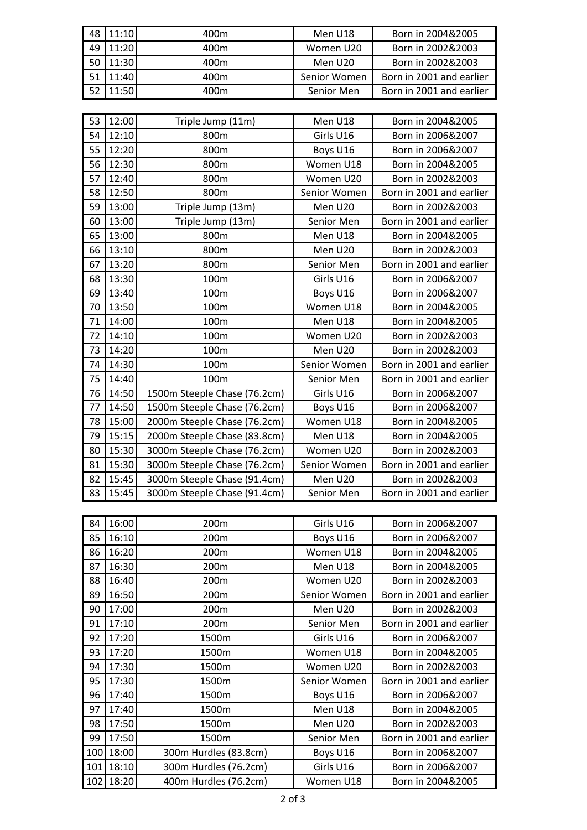| 48 | 11:10 | 400m                         | Men U18      | Born in 2004&2005        |
|----|-------|------------------------------|--------------|--------------------------|
| 49 | 11:20 | 400m                         | Women U20    | Born in 2002&2003        |
| 50 | 11:30 | 400m                         | Men U20      | Born in 2002&2003        |
| 51 | 11:40 | 400m                         | Senior Women | Born in 2001 and earlier |
| 52 | 11:50 | 400m                         | Senior Men   | Born in 2001 and earlier |
|    |       |                              |              |                          |
| 53 | 12:00 | Triple Jump (11m)            | Men U18      | Born in 2004&2005        |
| 54 | 12:10 | 800m                         | Girls U16    | Born in 2006&2007        |
| 55 | 12:20 | 800m                         | Boys U16     | Born in 2006&2007        |
| 56 | 12:30 | 800m                         | Women U18    | Born in 2004&2005        |
| 57 | 12:40 | 800m                         | Women U20    | Born in 2002&2003        |
| 58 | 12:50 | 800m                         | Senior Women | Born in 2001 and earlier |
| 59 | 13:00 | Triple Jump (13m)            | Men U20      | Born in 2002&2003        |
| 60 | 13:00 | Triple Jump (13m)            | Senior Men   | Born in 2001 and earlier |
| 65 | 13:00 | 800m                         | Men U18      | Born in 2004&2005        |
| 66 | 13:10 | 800m                         | Men U20      | Born in 2002&2003        |
| 67 | 13:20 | 800m                         | Senior Men   | Born in 2001 and earlier |
| 68 | 13:30 | 100m                         | Girls U16    | Born in 2006&2007        |
| 69 | 13:40 | 100m                         | Boys U16     | Born in 2006&2007        |
| 70 | 13:50 | 100m                         | Women U18    | Born in 2004&2005        |
| 71 | 14:00 | 100m                         | Men U18      | Born in 2004&2005        |
| 72 | 14:10 | 100m                         | Women U20    | Born in 2002&2003        |
| 73 | 14:20 | 100m                         | Men U20      | Born in 2002&2003        |
| 74 | 14:30 | 100m                         | Senior Women | Born in 2001 and earlier |
| 75 | 14:40 | 100m                         | Senior Men   | Born in 2001 and earlier |
| 76 | 14:50 | 1500m Steeple Chase (76.2cm) | Girls U16    | Born in 2006&2007        |
| 77 | 14:50 | 1500m Steeple Chase (76.2cm) | Boys U16     | Born in 2006&2007        |
| 78 | 15:00 | 2000m Steeple Chase (76.2cm) | Women U18    | Born in 2004&2005        |
| 79 | 15:15 | 2000m Steeple Chase (83.8cm) | Men U18      | Born in 2004&2005        |
| 80 | 15:30 | 3000m Steeple Chase (76.2cm) | Women U20    | Born in 2002&2003        |
| 81 | 15:30 | 3000m Steeple Chase (76.2cm) | Senior Women | Born in 2001 and earlier |
| 82 | 15:45 | 3000m Steeple Chase (91.4cm) | Men U20      | Born in 2002&2003        |
| 83 | 15:45 | 3000m Steeple Chase (91.4cm) | Senior Men   | Born in 2001 and earlier |
|    |       |                              |              |                          |
| 84 | 16:00 | 200m                         | Girls U16    | Born in 2006&2007        |
| 85 | 16:10 | 200m                         | Boys U16     | Born in 2006&2007        |
| 86 | 16:20 | 200m                         | Women U18    | Born in 2004&2005        |
| 87 | 16:30 | 200m                         | Men U18      | Born in 2004&2005        |
| 88 | 16:40 | 200m                         | Women U20    | Born in 2002&2003        |
| 89 | 16:50 | 200m                         | Senior Women | Born in 2001 and earlier |
| 90 | 17:00 | 200 <sub>m</sub>             | Men U20      | Born in 2002&2003        |

| 87  | 16:30         | 200m                  | Men U18      | Born in 2004&2005        |
|-----|---------------|-----------------------|--------------|--------------------------|
| 88  | 16:40         | 200 <sub>m</sub>      | Women U20    | Born in 2002&2003        |
| 89  | 16:50         | 200 <sub>m</sub>      | Senior Women | Born in 2001 and earlier |
| 90  | 17:00         | 200 <sub>m</sub>      | Men U20      | Born in 2002&2003        |
| 91  | 17:10         | 200 <sub>m</sub>      | Senior Men   | Born in 2001 and earlier |
| 92  | 17:20         | 1500m                 | Girls U16    | Born in 2006&2007        |
| 93  | 17:20         | 1500m                 | Women U18    | Born in 2004&2005        |
| 94  | 17:30         | 1500m                 | Women U20    | Born in 2002&2003        |
| 95  | 17:30         | 1500m                 | Senior Women | Born in 2001 and earlier |
| 96  | 17:40         | 1500m                 | Boys U16     | Born in 2006&2007        |
| 97  | 17:40         | 1500m                 | Men U18      | Born in 2004&2005        |
| 98  | 17:50         | 1500m                 | Men U20      | Born in 2002&2003        |
| 99  | 17:50         | 1500m                 | Senior Men   | Born in 2001 and earlier |
| 100 | 18:00         | 300m Hurdles (83.8cm) | Boys U16     | Born in 2006&2007        |
|     | $101$   18:10 | 300m Hurdles (76.2cm) | Girls U16    | Born in 2006&2007        |
|     | 102 18:20     | 400m Hurdles (76.2cm) | Women U18    | Born in 2004&2005        |